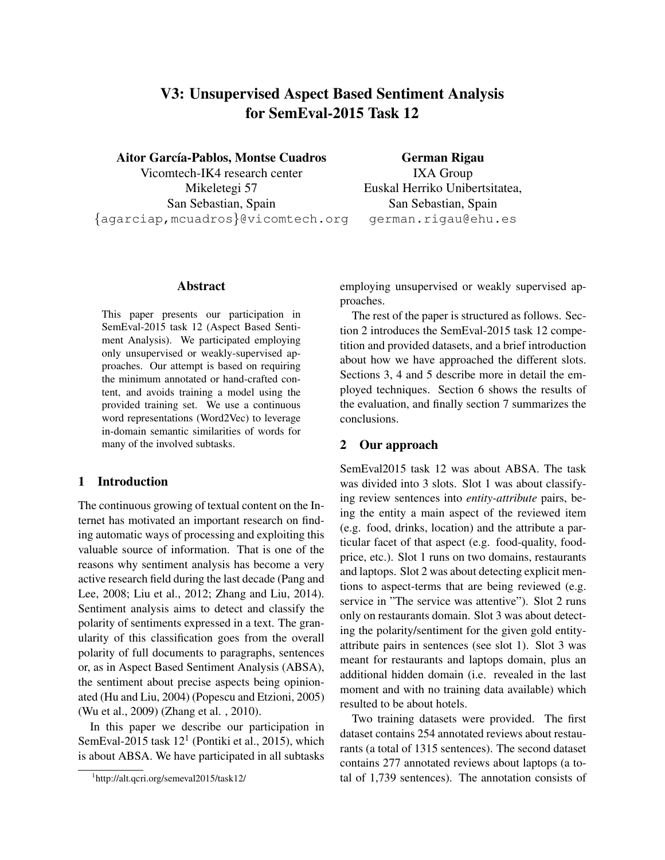# V3: Unsupervised Aspect Based Sentiment Analysis for SemEval-2015 Task 12

Aitor García-Pablos, Montse Cuadros

Vicomtech-IK4 research center Mikeletegi 57 San Sebastian, Spain {agarciap,mcuadros}@vicomtech.org

#### Abstract

This paper presents our participation in SemEval-2015 task 12 (Aspect Based Sentiment Analysis). We participated employing only unsupervised or weakly-supervised approaches. Our attempt is based on requiring the minimum annotated or hand-crafted content, and avoids training a model using the provided training set. We use a continuous word representations (Word2Vec) to leverage in-domain semantic similarities of words for many of the involved subtasks.

### 1 Introduction

The continuous growing of textual content on the Internet has motivated an important research on finding automatic ways of processing and exploiting this valuable source of information. That is one of the reasons why sentiment analysis has become a very active research field during the last decade (Pang and Lee, 2008; Liu et al., 2012; Zhang and Liu, 2014). Sentiment analysis aims to detect and classify the polarity of sentiments expressed in a text. The granularity of this classification goes from the overall polarity of full documents to paragraphs, sentences or, as in Aspect Based Sentiment Analysis (ABSA), the sentiment about precise aspects being opinionated (Hu and Liu, 2004) (Popescu and Etzioni, 2005) (Wu et al., 2009) (Zhang et al. , 2010).

In this paper we describe our participation in SemEval-2015 task  $12<sup>1</sup>$  (Pontiki et al., 2015), which is about ABSA. We have participated in all subtasks

German Rigau IXA Group Euskal Herriko Unibertsitatea, San Sebastian, Spain german.rigau@ehu.es

employing unsupervised or weakly supervised approaches.

The rest of the paper is structured as follows. Section 2 introduces the SemEval-2015 task 12 competition and provided datasets, and a brief introduction about how we have approached the different slots. Sections 3, 4 and 5 describe more in detail the employed techniques. Section 6 shows the results of the evaluation, and finally section 7 summarizes the conclusions.

## 2 Our approach

SemEval2015 task 12 was about ABSA. The task was divided into 3 slots. Slot 1 was about classifying review sentences into *entity-attribute* pairs, being the entity a main aspect of the reviewed item (e.g. food, drinks, location) and the attribute a particular facet of that aspect (e.g. food-quality, foodprice, etc.). Slot 1 runs on two domains, restaurants and laptops. Slot 2 was about detecting explicit mentions to aspect-terms that are being reviewed (e.g. service in "The service was attentive"). Slot 2 runs only on restaurants domain. Slot 3 was about detecting the polarity/sentiment for the given gold entityattribute pairs in sentences (see slot 1). Slot 3 was meant for restaurants and laptops domain, plus an additional hidden domain (i.e. revealed in the last moment and with no training data available) which resulted to be about hotels.

Two training datasets were provided. The first dataset contains 254 annotated reviews about restaurants (a total of 1315 sentences). The second dataset contains 277 annotated reviews about laptops (a total of 1,739 sentences). The annotation consists of

<sup>1</sup> http://alt.qcri.org/semeval2015/task12/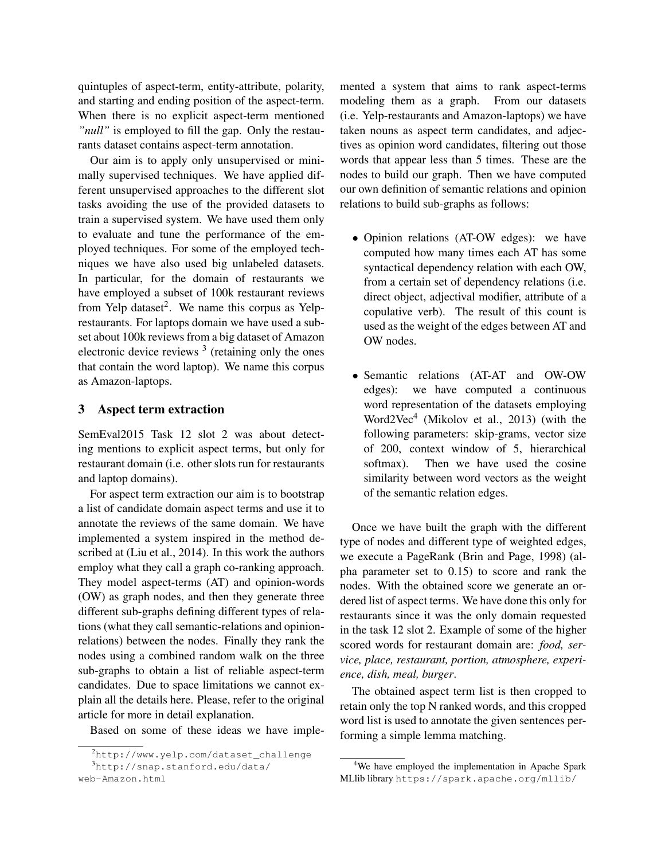quintuples of aspect-term, entity-attribute, polarity, and starting and ending position of the aspect-term. When there is no explicit aspect-term mentioned *"null"* is employed to fill the gap. Only the restaurants dataset contains aspect-term annotation.

Our aim is to apply only unsupervised or minimally supervised techniques. We have applied different unsupervised approaches to the different slot tasks avoiding the use of the provided datasets to train a supervised system. We have used them only to evaluate and tune the performance of the employed techniques. For some of the employed techniques we have also used big unlabeled datasets. In particular, for the domain of restaurants we have employed a subset of 100k restaurant reviews from Yelp dataset<sup>2</sup>. We name this corpus as Yelprestaurants. For laptops domain we have used a subset about 100k reviews from a big dataset of Amazon electronic device reviews  $3$  (retaining only the ones that contain the word laptop). We name this corpus as Amazon-laptops.

## 3 Aspect term extraction

SemEval2015 Task 12 slot 2 was about detecting mentions to explicit aspect terms, but only for restaurant domain (i.e. other slots run for restaurants and laptop domains).

For aspect term extraction our aim is to bootstrap a list of candidate domain aspect terms and use it to annotate the reviews of the same domain. We have implemented a system inspired in the method described at (Liu et al., 2014). In this work the authors employ what they call a graph co-ranking approach. They model aspect-terms (AT) and opinion-words (OW) as graph nodes, and then they generate three different sub-graphs defining different types of relations (what they call semantic-relations and opinionrelations) between the nodes. Finally they rank the nodes using a combined random walk on the three sub-graphs to obtain a list of reliable aspect-term candidates. Due to space limitations we cannot explain all the details here. Please, refer to the original article for more in detail explanation.

Based on some of these ideas we have imple-

mented a system that aims to rank aspect-terms modeling them as a graph. From our datasets (i.e. Yelp-restaurants and Amazon-laptops) we have taken nouns as aspect term candidates, and adjectives as opinion word candidates, filtering out those words that appear less than 5 times. These are the nodes to build our graph. Then we have computed our own definition of semantic relations and opinion relations to build sub-graphs as follows:

- Opinion relations (AT-OW edges): we have computed how many times each AT has some syntactical dependency relation with each OW, from a certain set of dependency relations (i.e. direct object, adjectival modifier, attribute of a copulative verb). The result of this count is used as the weight of the edges between AT and OW nodes.
- Semantic relations (AT-AT and OW-OW edges): we have computed a continuous word representation of the datasets employing Word2Vec<sup>4</sup> (Mikolov et al., 2013) (with the following parameters: skip-grams, vector size of 200, context window of 5, hierarchical softmax). Then we have used the cosine similarity between word vectors as the weight of the semantic relation edges.

Once we have built the graph with the different type of nodes and different type of weighted edges, we execute a PageRank (Brin and Page, 1998) (alpha parameter set to 0.15) to score and rank the nodes. With the obtained score we generate an ordered list of aspect terms. We have done this only for restaurants since it was the only domain requested in the task 12 slot 2. Example of some of the higher scored words for restaurant domain are: *food, service, place, restaurant, portion, atmosphere, experience, dish, meal, burger*.

The obtained aspect term list is then cropped to retain only the top N ranked words, and this cropped word list is used to annotate the given sentences performing a simple lemma matching.

<sup>2</sup>http://www.yelp.com/dataset\_challenge <sup>3</sup>http://snap.stanford.edu/data/ web-Amazon.html

<sup>&</sup>lt;sup>4</sup>We have employed the implementation in Apache Spark MLlib library https://spark.apache.org/mllib/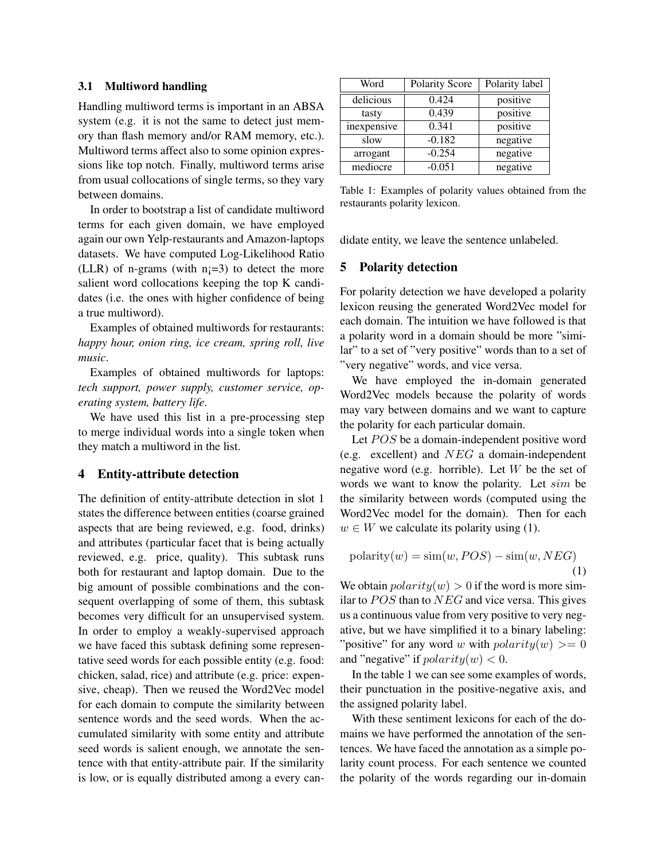## 3.1 Multiword handling

Handling multiword terms is important in an ABSA system (e.g. it is not the same to detect just memory than flash memory and/or RAM memory, etc.). Multiword terms affect also to some opinion expressions like top notch. Finally, multiword terms arise from usual collocations of single terms, so they vary between domains.

In order to bootstrap a list of candidate multiword terms for each given domain, we have employed again our own Yelp-restaurants and Amazon-laptops datasets. We have computed Log-Likelihood Ratio (LLR) of n-grams (with  $n<sub>i</sub>=3$ ) to detect the more salient word collocations keeping the top K candidates (i.e. the ones with higher confidence of being a true multiword).

Examples of obtained multiwords for restaurants: *happy hour, onion ring, ice cream, spring roll, live music*.

Examples of obtained multiwords for laptops: *tech support, power supply, customer service, operating system, battery life*.

We have used this list in a pre-processing step to merge individual words into a single token when they match a multiword in the list.

#### 4 Entity-attribute detection

The definition of entity-attribute detection in slot 1 states the difference between entities (coarse grained aspects that are being reviewed, e.g. food, drinks) and attributes (particular facet that is being actually reviewed, e.g. price, quality). This subtask runs both for restaurant and laptop domain. Due to the big amount of possible combinations and the consequent overlapping of some of them, this subtask becomes very difficult for an unsupervised system. In order to employ a weakly-supervised approach we have faced this subtask defining some representative seed words for each possible entity (e.g. food: chicken, salad, rice) and attribute (e.g. price: expensive, cheap). Then we reused the Word2Vec model for each domain to compute the similarity between sentence words and the seed words. When the accumulated similarity with some entity and attribute seed words is salient enough, we annotate the sentence with that entity-attribute pair. If the similarity is low, or is equally distributed among a every can-

| Word        | <b>Polarity Score</b> | Polarity label |
|-------------|-----------------------|----------------|
| delicious   | 0.424                 | positive       |
| tasty       | 0.439                 | positive       |
| inexpensive | 0.341                 | positive       |
| slow        | $-0.182$              | negative       |
| arrogant    | $-0.254$              | negative       |
| mediocre    | $-0.051$              | negative       |

Table 1: Examples of polarity values obtained from the restaurants polarity lexicon.

didate entity, we leave the sentence unlabeled.

#### 5 Polarity detection

For polarity detection we have developed a polarity lexicon reusing the generated Word2Vec model for each domain. The intuition we have followed is that a polarity word in a domain should be more "similar" to a set of "very positive" words than to a set of "very negative" words, and vice versa.

We have employed the in-domain generated Word2Vec models because the polarity of words may vary between domains and we want to capture the polarity for each particular domain.

Let  $POS$  be a domain-independent positive word (e.g. excellent) and NEG a domain-independent negative word (e.g. horrible). Let  $W$  be the set of words we want to know the polarity. Let sim be the similarity between words (computed using the Word2Vec model for the domain). Then for each  $w \in W$  we calculate its polarity using (1).

$$
polarity(w) = \text{sim}(w, POS) - \text{sim}(w, NEG)
$$
\n(1)

We obtain  $polarity(w) > 0$  if the word is more similar to  $POS$  than to  $NEG$  and vice versa. This gives us a continuous value from very positive to very negative, but we have simplified it to a binary labeling: "positive" for any word w with  $polarity(w) >= 0$ and "negative" if  $polarity(w) < 0$ .

In the table 1 we can see some examples of words, their punctuation in the positive-negative axis, and the assigned polarity label.

With these sentiment lexicons for each of the domains we have performed the annotation of the sentences. We have faced the annotation as a simple polarity count process. For each sentence we counted the polarity of the words regarding our in-domain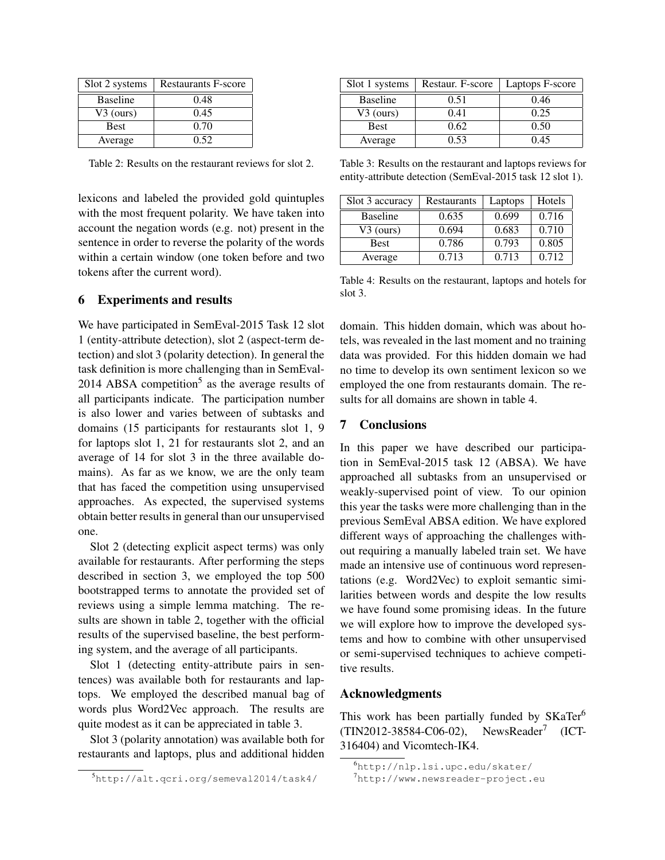| Slot 2 systems  | <b>Restaurants F-score</b> |
|-----------------|----------------------------|
| <b>Baseline</b> | 0.48                       |
| $V3$ (ours)     | 0.45                       |
| <b>Best</b>     | 0.70                       |
| Average         | 0.52                       |

Table 2: Results on the restaurant reviews for slot 2.

lexicons and labeled the provided gold quintuples with the most frequent polarity. We have taken into account the negation words (e.g. not) present in the sentence in order to reverse the polarity of the words within a certain window (one token before and two tokens after the current word).

## 6 Experiments and results

We have participated in SemEval-2015 Task 12 slot 1 (entity-attribute detection), slot 2 (aspect-term detection) and slot 3 (polarity detection). In general the task definition is more challenging than in SemEval- $2014$  ABSA competition<sup>5</sup> as the average results of all participants indicate. The participation number is also lower and varies between of subtasks and domains (15 participants for restaurants slot 1, 9 for laptops slot 1, 21 for restaurants slot 2, and an average of 14 for slot 3 in the three available domains). As far as we know, we are the only team that has faced the competition using unsupervised approaches. As expected, the supervised systems obtain better results in general than our unsupervised one.

Slot 2 (detecting explicit aspect terms) was only available for restaurants. After performing the steps described in section 3, we employed the top 500 bootstrapped terms to annotate the provided set of reviews using a simple lemma matching. The results are shown in table 2, together with the official results of the supervised baseline, the best performing system, and the average of all participants.

Slot 1 (detecting entity-attribute pairs in sentences) was available both for restaurants and laptops. We employed the described manual bag of words plus Word2Vec approach. The results are quite modest as it can be appreciated in table 3.

Slot 3 (polarity annotation) was available both for restaurants and laptops, plus and additional hidden

| Slot 1 systems  | Restaur. F-score | Laptops F-score |  |
|-----------------|------------------|-----------------|--|
| <b>Baseline</b> | 0.51             | 0.46            |  |
| $V3$ (ours)     | 0.41             | 0.25            |  |
| <b>Best</b>     | 0.62             | 0.50            |  |
| Average         | 0.53             | 0.45            |  |

Table 3: Results on the restaurant and laptops reviews for entity-attribute detection (SemEval-2015 task 12 slot 1).

| Slot 3 accuracy | Restaurants | Laptops | Hotels |
|-----------------|-------------|---------|--------|
| <b>Baseline</b> | 0.635       | 0.699   | 0.716  |
| $V3$ (ours)     | 0.694       | 0.683   | 0.710  |
| <b>Best</b>     | 0.786       | 0.793   | 0.805  |
| Average         | 0.713       | 0.713   | 0.712  |

Table 4: Results on the restaurant, laptops and hotels for slot 3.

domain. This hidden domain, which was about hotels, was revealed in the last moment and no training data was provided. For this hidden domain we had no time to develop its own sentiment lexicon so we employed the one from restaurants domain. The results for all domains are shown in table 4.

## 7 Conclusions

In this paper we have described our participation in SemEval-2015 task 12 (ABSA). We have approached all subtasks from an unsupervised or weakly-supervised point of view. To our opinion this year the tasks were more challenging than in the previous SemEval ABSA edition. We have explored different ways of approaching the challenges without requiring a manually labeled train set. We have made an intensive use of continuous word representations (e.g. Word2Vec) to exploit semantic similarities between words and despite the low results we have found some promising ideas. In the future we will explore how to improve the developed systems and how to combine with other unsupervised or semi-supervised techniques to achieve competitive results.

### Acknowledgments

This work has been partially funded by SKaTer<sup>6</sup>  $(TIN2012-38584-C06-02),$ NewsReader<sup>7</sup> (ICT-316404) and Vicomtech-IK4.

<sup>5</sup>http://alt.qcri.org/semeval2014/task4/

<sup>6</sup>http://nlp.lsi.upc.edu/skater/

<sup>7</sup>http://www.newsreader-project.eu